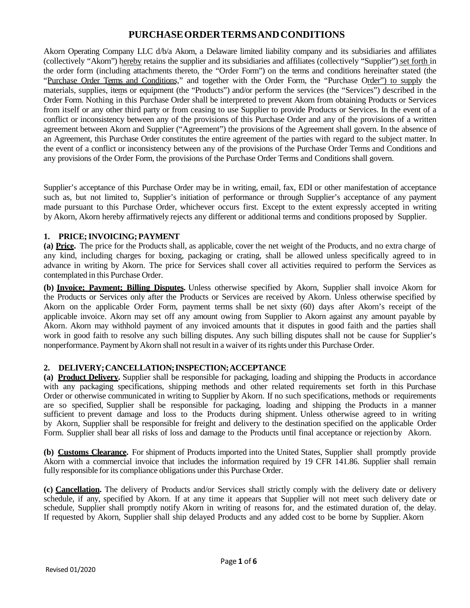# **PURCHASEORDERTERMSANDCONDITIONS**

Akorn Operating Company LLC d/b/a Akorn, a Delaware limited liability company and its subsidiaries and affiliates (collectively "Akorn") hereby retains the supplier and its subsidiaries and affiliates (collectively "Supplier") set forth in the order form (including attachments thereto, the "Order Form") on the terms and conditions hereinafter stated (the "Purchase Order Terms and Conditions," and together with the Order Form, the "Purchase Order") to supply the materials, supplies, items or equipment (the "Products") and/or perform the services (the "Services") described in the Order Form. Nothing in this Purchase Order shall be interpreted to prevent Akorn from obtaining Products or Services from itself or any other third party or from ceasing to use Supplier to provide Products or Services. In the event of a conflict or inconsistency between any of the provisions of this Purchase Order and any of the provisions of a written agreement between Akorn and Supplier ("Agreement") the provisions of the Agreement shall govern. In the absence of an Agreement, this Purchase Order constitutes the entire agreement of the parties with regard to the subject matter. In the event of a conflict or inconsistency between any of the provisions of the Purchase Order Terms and Conditions and any provisions of the Order Form, the provisions of the Purchase Order Terms and Conditions shall govern.

Supplier's acceptance of this Purchase Order may be in writing, email, fax, EDI or other manifestation of acceptance such as, but not limited to, Supplier's initiation of performance or through Supplier's acceptance of any payment made pursuant to this Purchase Order, whichever occurs first. Except to the extent expressly accepted in writing by Akorn, Akorn hereby affirmatively rejects any different or additional terms and conditions proposed by Supplier.

# **1. PRICE;INVOICING;PAYMENT**

**(a) Price.** The price for the Products shall, as applicable, cover the net weight of the Products, and no extra charge of any kind, including charges for boxing, packaging or crating, shall be allowed unless specifically agreed to in advance in writing by Akorn. The price for Services shall cover all activities required to perform the Services as contemplated in this Purchase Order.

**(b) Invoice; Payment; Billing Disputes.** Unless otherwise specified by Akorn, Supplier shall invoice Akorn for the Products or Services only after the Products or Services are received by Akorn. Unless otherwise specified by Akorn on the applicable Order Form, payment terms shall be net sixty (60) days after Akorn's receipt of the applicable invoice. Akorn may set off any amount owing from Supplier to Akorn against any amount payable by Akorn. Akorn may withhold payment of any invoiced amounts that it disputes in good faith and the parties shall work in good faith to resolve any such billing disputes. Any such billing disputes shall not be cause for Supplier's nonperformance. Payment byAkorn shall not result in a waiver of itsrights under this Purchase Order.

# **2. DELIVERY;CANCELLATION;INSPECTION;ACCEPTANCE**

**(a) Product Delivery.** Supplier shall be responsible for packaging, loading and shipping the Products in accordance with any packaging specifications, shipping methods and other related requirements set forth in this Purchase Order or otherwise communicated in writing to Supplier by Akorn. If no such specifications, methods or requirements are so specified, Supplier shall be responsible for packaging, loading and shipping the Products in a manner sufficient to prevent damage and loss to the Products during shipment. Unless otherwise agreed to in writing by Akorn, Supplier shall be responsible for freight and delivery to the destination specified on the applicable Order Form. Supplier shall bear all risks of loss and damage to the Products until final acceptance or rejection by Akorn.

**(b) Customs Clearance.** For shipment of Products imported into the United States, Supplier shall promptly provide Akorn with a commercial invoice that includes the information required by 19 CFR 141.86. Supplier shall remain fully responsible for its compliance obligations under this Purchase Order.

**(c) Cancellation.** The delivery of Products and/or Services shall strictly comply with the delivery date or delivery schedule, if any, specified by Akorn. If at any time it appears that Supplier will not meet such delivery date or schedule, Supplier shall promptly notify Akorn in writing of reasons for, and the estimated duration of, the delay. If requested by Akorn, Supplier shall ship delayed Products and any added cost to be borne by Supplier. Akorn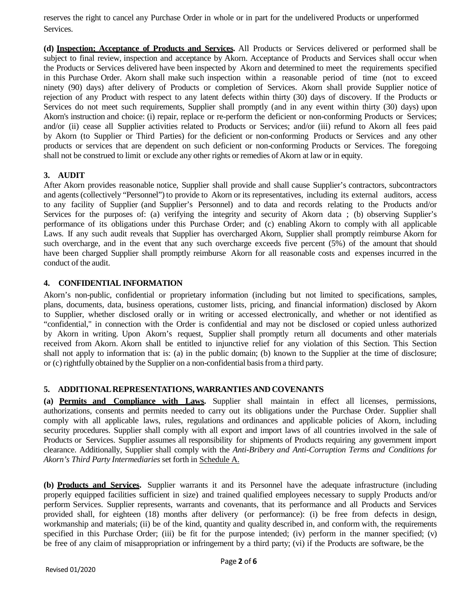reserves the right to cancel any Purchase Order in whole or in part for the undelivered Products or unperformed Services.

**(d) Inspection; Acceptance of Products and Services.** All Products or Services delivered or performed shall be subject to final review, inspection and acceptance by Akorn. Acceptance of Products and Services shall occur when the Products or Services delivered have been inspected by Akorn and determined to meet the requirements specified in this Purchase Order. Akorn shall make such inspection within a reasonable period of time (not to exceed ninety (90) days) after delivery of Products or completion of Services. Akorn shall provide Supplier notice of rejection of any Product with respect to any latent defects within thirty (30) days of discovery. If the Products or Services do not meet such requirements, Supplier shall promptly (and in any event within thirty (30) days) upon Akorn's instruction and choice: (i) repair, replace or re-perform the deficient or non-conforming Products or Services; and/or (ii) cease all Supplier activities related to Products or Services; and/or (iii) refund to Akorn all fees paid by Akorn (to Supplier or Third Parties) for the deficient or non-conforming Products or Services and any other products or services that are dependent on such deficient or non-conforming Products or Services. The foregoing shall not be construed to limit or exclude any other rights or remedies of Akorn at law or in equity.

### **3. AUDIT**

After Akorn provides reasonable notice, Supplier shall provide and shall cause Supplier's contractors, subcontractors and agents (collectively "Personnel") to provide to Akorn or its representatives, including its external auditors, access to any facility of Supplier (and Supplier's Personnel) and to data and records relating to the Products and/or Services for the purposes of: (a) verifying the integrity and security of Akorn data ; (b) observing Supplier's performance of its obligations under this Purchase Order; and (c) enabling Akorn to comply with all applicable Laws. If any such audit reveals that Supplier has overcharged Akorn, Supplier shall promptly reimburse Akorn for such overcharge, and in the event that any such overcharge exceeds five percent (5%) of the amount that should have been charged Supplier shall promptly reimburse Akorn for all reasonable costs and expenses incurred in the conduct of the audit.

#### **4. CONFIDENTIAL INFORMATION**

Akorn's non-public, confidential or proprietary information (including but not limited to specifications, samples, plans, documents, data, business operations, customer lists, pricing, and financial information) disclosed by Akorn to Supplier, whether disclosed orally or in writing or accessed electronically, and whether or not identified as "confidential," in connection with the Order is confidential and may not be disclosed or copied unless authorized by Akorn in writing. Upon Akorn's request, Supplier shall promptly return all documents and other materials received from Akorn. Akorn shall be entitled to injunctive relief for any violation of this Section. This Section shall not apply to information that is: (a) in the public domain; (b) known to the Supplier at the time of disclosure; or (c) rightfully obtained by the Supplier on a non-confidential basisfrom a third party.

#### **5. ADDITIONAL REPRESENTATIONS, WARRANTIES AND COVENANTS**

**(a) Permits and Compliance with Laws.** Supplier shall maintain in effect all licenses, permissions, authorizations, consents and permits needed to carry out its obligations under the Purchase Order. Supplier shall comply with all applicable laws, rules, regulations and ordinances and applicable policies of Akorn, including security procedures. Supplier shall comply with all export and import laws of all countries involved in the sale of Products or Services. Supplier assumes all responsibility for shipments of Products requiring any government import clearance. Additionally, Supplier shall comply with the *Anti-Bribery and Anti-Corruption Terms and Conditions for Akorn's Third Party Intermediaries* set forth in Schedule A.

**(b) Products and Services.** Supplier warrants it and its Personnel have the adequate infrastructure (including properly equipped facilities sufficient in size) and trained qualified employees necessary to supply Products and/or perform Services. Supplier represents, warrants and covenants, that its performance and all Products and Services provided shall, for eighteen (18) months after delivery (or performance): (i) be free from defects in design, workmanship and materials; (ii) be of the kind, quantity and quality described in, and conform with, the requirements specified in this Purchase Order; (iii) be fit for the purpose intended; (iv) perform in the manner specified; (v) be free of any claim of misappropriation or infringement by a third party; (vi) if the Products are software, be the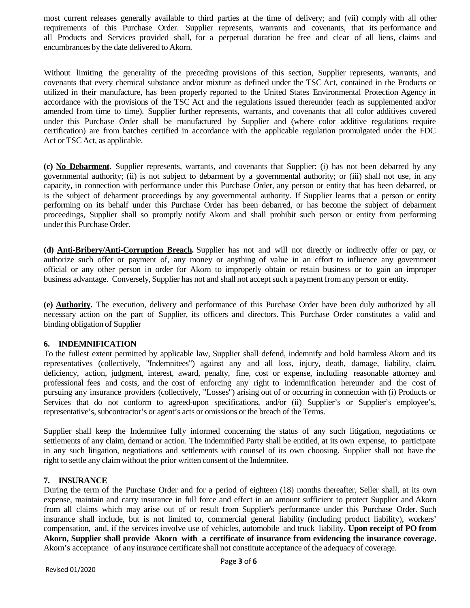most current releases generally available to third parties at the time of delivery; and (vii) comply with all other requirements of this Purchase Order. Supplier represents, warrants and covenants, that its performance and all Products and Services provided shall, for a perpetual duration be free and clear of all liens, claims and encumbrances by the date delivered to Akorn.

Without limiting the generality of the preceding provisions of this section, Supplier represents, warrants, and covenants that every chemical substance and/or mixture as defined under the TSC Act, contained in the Products or utilized in their manufacture, has been properly reported to the United States Environmental Protection Agency in accordance with the provisions of the TSC Act and the regulations issued thereunder (each as supplemented and/or amended from time to time). Supplier further represents, warrants, and covenants that all color additives covered under this Purchase Order shall be manufactured by Supplier and (where color additive regulations require certification) are from batches certified in accordance with the applicable regulation promulgated under the FDC Act or TSC Act, as applicable.

**(c) No Debarment.** Supplier represents, warrants, and covenants that Supplier: (i) has not been debarred by any governmental authority; (ii) is not subject to debarment by a governmental authority; or (iii) shall not use, in any capacity, in connection with performance under this Purchase Order, any person or entity that has been debarred, or is the subject of debarment proceedings by any governmental authority. If Supplier learns that a person or entity performing on its behalf under this Purchase Order has been debarred, or has become the subject of debarment proceedings, Supplier shall so promptly notify Akorn and shall prohibit such person or entity from performing under this Purchase Order.

**(d) Anti-Bribery/Anti-Corruption Breach.** Supplier has not and will not directly or indirectly offer or pay, or authorize such offer or payment of, any money or anything of value in an effort to influence any government official or any other person in order for Akorn to improperly obtain or retain business or to gain an improper business advantage. Conversely, Supplier has not and shall not acceptsuch a payment from any person or entity.

**(e) Authority.** The execution, delivery and performance of this Purchase Order have been duly authorized by all necessary action on the part of Supplier, its officers and directors. This Purchase Order constitutes a valid and binding obligation of Supplier

#### **6. INDEMNIFICATION**

To the fullest extent permitted by applicable law, Supplier shall defend, indemnify and hold harmless Akorn and its representatives (collectively, "Indemnitees") against any and all loss, injury, death, damage, liability, claim, deficiency, action, judgment, interest, award, penalty, fine, cost or expense, including reasonable attorney and professional fees and costs, and the cost of enforcing any right to indemnification hereunder and the cost of pursuing any insurance providers (collectively, "Losses") arising out of or occurring in connection with (i) Products or Services that do not conform to agreed-upon specifications, and/or (ii) Supplier's or Supplier's employee's, representative's, subcontractor's or agent's acts or omissions or the breach of the Terms.

Supplier shall keep the Indemnitee fully informed concerning the status of any such litigation, negotiations or settlements of any claim, demand or action. The Indemnified Party shall be entitled, at its own expense, to participate in any such litigation, negotiations and settlements with counsel of its own choosing. Supplier shall not have the right to settle any claimwithout the prior written consent of the Indemnitee.

#### **7. INSURANCE**

During the term of the Purchase Order and for a period of eighteen (18) months thereafter, Seller shall, at its own expense, maintain and carry insurance in full force and effect in an amount sufficient to protect Supplier and Akorn from all claims which may arise out of or result from Supplier's performance under this Purchase Order. Such insurance shall include, but is not limited to, commercial general liability (including product liability), workers' compensation, and, if the services involve use of vehicles, automobile and truck liability. **Upon receipt of PO from Akorn, Supplier shall provide Akorn with a certificate of insurance from evidencing the insurance coverage.** Akorn's acceptance of any insurance certificate shall not constitute acceptance of the adequacy of coverage.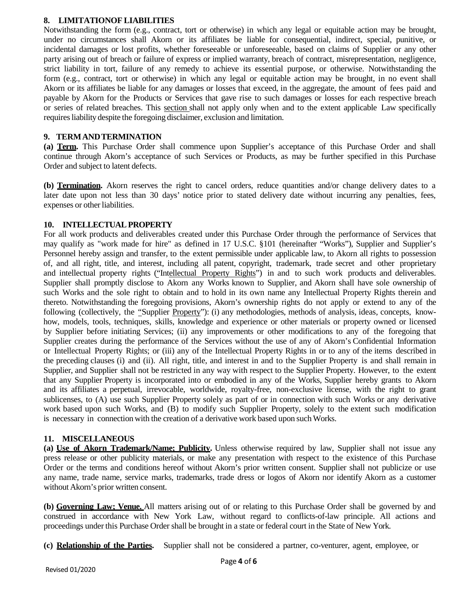#### **8. LIMITATIONOF LIABILITIES**

Notwithstanding the form (e.g., contract, tort or otherwise) in which any legal or equitable action may be brought, under no circumstances shall Akorn or its affiliates be liable for consequential, indirect, special, punitive, or incidental damages or lost profits, whether foreseeable or unforeseeable, based on claims of Supplier or any other party arising out of breach or failure of express or implied warranty, breach of contract, misrepresentation, negligence, strict liability in tort, failure of any remedy to achieve its essential purpose, or otherwise. Notwithstanding the form (e.g., contract, tort or otherwise) in which any legal or equitable action may be brought, in no event shall Akorn or its affiliates be liable for any damages or losses that exceed, in the aggregate, the amount of fees paid and payable by Akorn for the Products or Services that gave rise to such damages or losses for each respective breach or series of related breaches. This section shall not apply only when and to the extent applicable Law specifically requires liability despite the foregoing disclaimer, exclusion and limitation.

#### **9. TERMANDTERMINATION**

**(a) Term.** This Purchase Order shall commence upon Supplier's acceptance of this Purchase Order and shall continue through Akorn's acceptance of such Services or Products, as may be further specified in this Purchase Order and subject to latent defects.

**(b) Termination.** Akorn reserves the right to cancel orders, reduce quantities and/or change delivery dates to a later date upon not less than 30 days' notice prior to stated delivery date without incurring any penalties, fees, expenses or other liabilities.

#### **10. INTELLECTUALPROPERTY**

For all work products and deliverables created under this Purchase Order through the performance of Services that may qualify as "work made for hire" as defined in 17 U.S.C. §101 (hereinafter "Works"), Supplier and Supplier's Personnel hereby assign and transfer, to the extent permissible under applicable law, to Akorn all rights to possession of, and all right, title, and interest, including all patent, copyright, trademark, trade secret and other proprietary and intellectual property rights ("Intellectual Property Rights") in and to such work products and deliverables. Supplier shall promptly disclose to Akorn any Works known to Supplier, and Akorn shall have sole ownership of such Works and the sole right to obtain and to hold in its own name any Intellectual Property Rights therein and thereto. Notwithstanding the foregoing provisions, Akorn's ownership rights do not apply or extend to any of the following (collectively, the "Supplier Property"): (i) any methodologies, methods of analysis, ideas, concepts, knowhow, models, tools, techniques, skills, knowledge and experience or other materials or property owned or licensed by Supplier before initiating Services; (ii) any improvements or other modifications to any of the foregoing that Supplier creates during the performance of the Services without the use of any of Akorn's Confidential Information or Intellectual Property Rights; or (iii) any of the Intellectual Property Rights in or to any of the items described in the preceding clauses (i) and (ii). All right, title, and interest in and to the Supplier Property is and shall remain in Supplier, and Supplier shall not be restricted in any way with respect to the Supplier Property. However, to the extent that any Supplier Property is incorporated into or embodied in any of the Works, Supplier hereby grants to Akorn and its affiliates a perpetual, irrevocable, worldwide, royalty-free, non-exclusive license, with the right to grant sublicenses, to (A) use such Supplier Property solely as part of or in connection with such Works or any derivative work based upon such Works, and (B) to modify such Supplier Property, solely to the extent such modification is necessary in connection with the creation of a derivative work based upon suchWorks.

#### **11. MISCELLANEOUS**

**(a) Use of Akorn Trademark/Name; Publicity.** Unless otherwise required by law, Supplier shall not issue any press release or other publicity materials, or make any presentation with respect to the existence of this Purchase Order or the terms and conditions hereof without Akorn's prior written consent. Supplier shall not publicize or use any name, trade name, service marks, trademarks, trade dress or logos of Akorn nor identify Akorn as a customer without Akorn's prior written consent.

**(b) Governing Law; Venue.** All matters arising out of or relating to this Purchase Order shall be governed by and construed in accordance with New York Law, without regard to conflicts-of-law principle. All actions and proceedings under this Purchase Order shall be brought in a state or federal court in the State of New York.

**(c) Relationship of the Parties.** Supplier shall not be considered a partner, co-venturer, agent, employee, or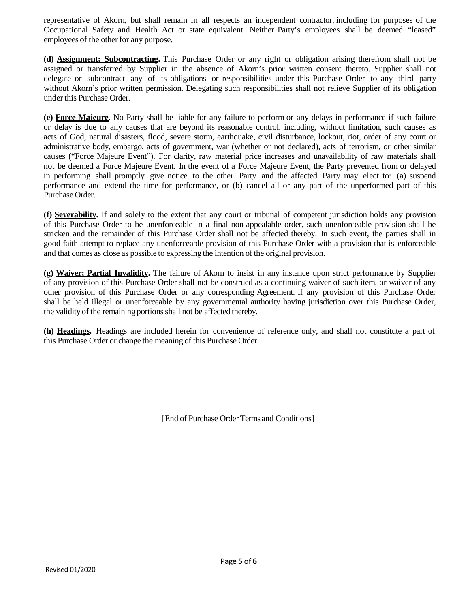representative of Akorn, but shall remain in all respects an independent contractor, including for purposes of the Occupational Safety and Health Act or state equivalent. Neither Party's employees shall be deemed "leased" employees of the other for any purpose.

**(d) Assignment; Subcontracting.** This Purchase Order or any right or obligation arising therefrom shall not be assigned or transferred by Supplier in the absence of Akorn's prior written consent thereto. Supplier shall not delegate or subcontract any of its obligations or responsibilities under this Purchase Order to any third party without Akorn's prior written permission. Delegating such responsibilities shall not relieve Supplier of its obligation under this Purchase Order.

**(e) Force Majeure.** No Party shall be liable for any failure to perform or any delays in performance if such failure or delay is due to any causes that are beyond its reasonable control, including, without limitation, such causes as acts of God, natural disasters, flood, severe storm, earthquake, civil disturbance, lockout, riot, order of any court or administrative body, embargo, acts of government, war (whether or not declared), acts of terrorism, or other similar causes ("Force Majeure Event"). For clarity, raw material price increases and unavailability of raw materials shall not be deemed a Force Majeure Event. In the event of a Force Majeure Event, the Party prevented from or delayed in performing shall promptly give notice to the other Party and the affected Party may elect to: (a) suspend performance and extend the time for performance, or (b) cancel all or any part of the unperformed part of this Purchase Order.

**(f) Severability.** If and solely to the extent that any court or tribunal of competent jurisdiction holds any provision of this Purchase Order to be unenforceable in a final non-appealable order, such unenforceable provision shall be stricken and the remainder of this Purchase Order shall not be affected thereby. In such event, the parties shall in good faith attempt to replace any unenforceable provision of this Purchase Order with a provision that is enforceable and that comes as close as possible to expressing the intention of the original provision.

**(g) Waiver; Partial Invalidity.** The failure of Akorn to insist in any instance upon strict performance by Supplier of any provision of this Purchase Order shall not be construed as a continuing waiver of such item, or waiver of any other provision of this Purchase Order or any corresponding Agreement. If any provision of this Purchase Order shall be held illegal or unenforceable by any governmental authority having jurisdiction over this Purchase Order, the validity of the remaining portions shall not be affected thereby.

**(h) Headings.** Headings are included herein for convenience of reference only, and shall not constitute a part of this Purchase Order or change the meaning of this Purchase Order.

[End of Purchase Order Terms and Conditions]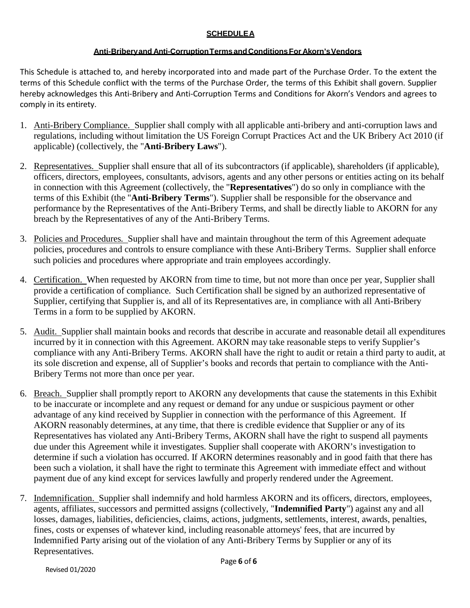# **SCHEDULEA**

### **Anti-Briberyand Anti-CorruptionTermsandConditionsFor Akorn'sVendors**

This Schedule is attached to, and hereby incorporated into and made part of the Purchase Order. To the extent the terms of this Schedule conflict with the terms of the Purchase Order, the terms of this Exhibit shall govern. Supplier hereby acknowledges this Anti-Bribery and Anti-Corruption Terms and Conditions for Akorn's Vendors and agrees to comply in its entirety.

- 1. Anti-Bribery Compliance. Supplier shall comply with all applicable anti-bribery and anti-corruption laws and regulations, including without limitation the US Foreign Corrupt Practices Act and the UK Bribery Act 2010 (if applicable) (collectively, the "**Anti-Bribery Laws**").
- 2. Representatives. Supplier shall ensure that all of its subcontractors (if applicable), shareholders (if applicable), officers, directors, employees, consultants, advisors, agents and any other persons or entities acting on its behalf in connection with this Agreement (collectively, the "**Representatives**") do so only in compliance with the terms of this Exhibit (the "**Anti-Bribery Terms**"). Supplier shall be responsible for the observance and performance by the Representatives of the Anti-Bribery Terms, and shall be directly liable to AKORN for any breach by the Representatives of any of the Anti-Bribery Terms.
- 3. Policies and Procedures*.* Supplier shall have and maintain throughout the term of this Agreement adequate policies, procedures and controls to ensure compliance with these Anti-Bribery Terms. Supplier shall enforce such policies and procedures where appropriate and train employees accordingly.
- 4. Certification. When requested by AKORN from time to time, but not more than once per year, Supplier shall provide a certification of compliance. Such Certification shall be signed by an authorized representative of Supplier, certifying that Supplier is, and all of its Representatives are, in compliance with all Anti-Bribery Terms in a form to be supplied by AKORN.
- 5. Audit. Supplier shall maintain books and records that describe in accurate and reasonable detail all expenditures incurred by it in connection with this Agreement. AKORN may take reasonable steps to verify Supplier's compliance with any Anti-Bribery Terms. AKORN shall have the right to audit or retain a third party to audit, at its sole discretion and expense, all of Supplier's books and records that pertain to compliance with the Anti-Bribery Terms not more than once per year.
- 6. Breach. Supplier shall promptly report to AKORN any developments that cause the statements in this Exhibit to be inaccurate or incomplete and any request or demand for any undue or suspicious payment or other advantage of any kind received by Supplier in connection with the performance of this Agreement. If AKORN reasonably determines, at any time, that there is credible evidence that Supplier or any of its Representatives has violated any Anti-Bribery Terms, AKORN shall have the right to suspend all payments due under this Agreement while it investigates. Supplier shall cooperate with AKORN's investigation to determine if such a violation has occurred. If AKORN determines reasonably and in good faith that there has been such a violation, it shall have the right to terminate this Agreement with immediate effect and without payment due of any kind except for services lawfully and properly rendered under the Agreement.
- 7. Indemnification. Supplier shall indemnify and hold harmless AKORN and its officers, directors, employees, agents, affiliates, successors and permitted assigns (collectively, "**Indemnified Party**") against any and all losses, damages, liabilities, deficiencies, claims, actions, judgments, settlements, interest, awards, penalties, fines, costs or expenses of whatever kind, including reasonable attorneys' fees, that are incurred by Indemnified Party arising out of the violation of any Anti-Bribery Terms by Supplier or any of its Representatives.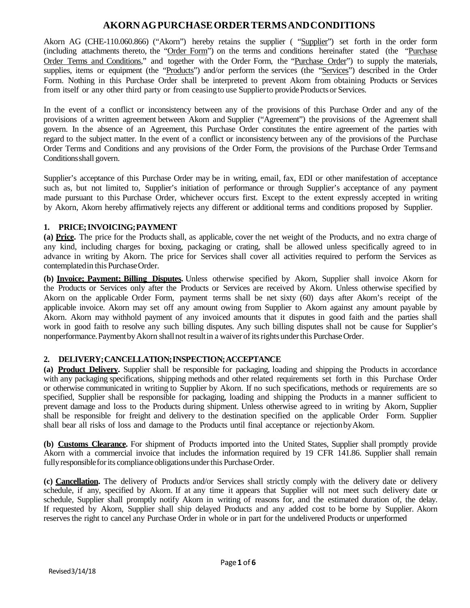# **AKORNAGPURCHASEORDERTERMSANDCONDITIONS**

Akorn AG (CHE-110.060.866) ("Akorn") hereby retains the supplier ( "Supplier") set forth in the order form (including attachments thereto, the "Order Form") on the terms and conditions hereinafter stated (the "Purchase Order Terms and Conditions," and together with the Order Form, the "Purchase Order") to supply the materials, supplies, items or equipment (the "Products") and/or perform the services (the "Services") described in the Order Form. Nothing in this Purchase Order shall be interpreted to prevent Akorn from obtaining Products or Services from itself or any other third party or from ceasing to use Supplier to provide Products or Services.

In the event of a conflict or inconsistency between any of the provisions of this Purchase Order and any of the provisions of a written agreement between Akorn and Supplier ("Agreement") the provisions of the Agreement shall govern. In the absence of an Agreement, this Purchase Order constitutes the entire agreement of the parties with regard to the subject matter. In the event of a conflict or inconsistency between any of the provisions of the Purchase Order Terms and Conditions and any provisions of the Order Form, the provisions of the Purchase Order Termsand Conditionsshall govern.

Supplier's acceptance of this Purchase Order may be in writing, email, fax, EDI or other manifestation of acceptance such as, but not limited to, Supplier's initiation of performance or through Supplier's acceptance of any payment made pursuant to this Purchase Order, whichever occurs first. Except to the extent expressly accepted in writing by Akorn, Akorn hereby affirmatively rejects any different or additional terms and conditions proposed by Supplier.

# **1. PRICE;INVOICING;PAYMENT**

**(a) Price.** The price for the Products shall, as applicable, cover the net weight of the Products, and no extra charge of any kind, including charges for boxing, packaging or crating, shall be allowed unless specifically agreed to in advance in writing by Akorn. The price for Services shall cover all activities required to perform the Services as contemplatedin this PurchaseOrder.

**(b) Invoice; Payment; Billing Disputes.** Unless otherwise specified by Akorn, Supplier shall invoice Akorn for the Products or Services only after the Products or Services are received by Akorn. Unless otherwise specified by Akorn on the applicable Order Form, payment terms shall be net sixty (60) days after Akorn's receipt of the applicable invoice. Akorn may set off any amount owing from Supplier to Akorn against any amount payable by Akorn. Akorn may withhold payment of any invoiced amounts that it disputes in good faith and the parties shall work in good faith to resolve any such billing disputes. Any such billing disputes shall not be cause for Supplier's nonperformance. Payment by Akorn shall not result in a waiver of its rights under this Purchase Order.

# **2. DELIVERY;CANCELLATION;INSPECTION;ACCEPTANCE**

**(a) Product Delivery.** Supplier shall be responsible for packaging, loading and shipping the Products in accordance with any packaging specifications, shipping methods and other related requirements set forth in this Purchase Order or otherwise communicated in writing to Supplier by Akorn. If no such specifications, methods or requirements are so specified, Supplier shall be responsible for packaging, loading and shipping the Products in a manner sufficient to prevent damage and loss to the Products during shipment. Unless otherwise agreed to in writing by Akorn, Supplier shall be responsible for freight and delivery to the destination specified on the applicable Order Form. Supplier shall bear all risks of loss and damage to the Products until final acceptance or rejectionbyAkorn.

**(b) Customs Clearance.** For shipment of Products imported into the United States, Supplier shall promptly provide Akorn with a commercial invoice that includes the information required by 19 CFR 141.86. Supplier shall remain fully responsible for its compliance obligations under this Purchase Order.

**(c) Cancellation.** The delivery of Products and/or Services shall strictly comply with the delivery date or delivery schedule, if any, specified by Akorn. If at any time it appears that Supplier will not meet such delivery date or schedule, Supplier shall promptly notify Akorn in writing of reasons for, and the estimated duration of, the delay. If requested by Akorn, Supplier shall ship delayed Products and any added cost to be borne by Supplier. Akorn reserves the right to cancel any Purchase Order in whole or in part for the undelivered Products or unperformed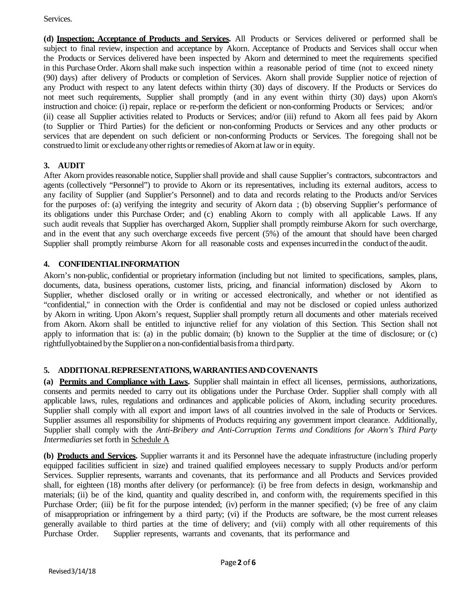Services.

**(d) Inspection; Acceptance of Products and Services.** All Products or Services delivered or performed shall be subject to final review, inspection and acceptance by Akorn. Acceptance of Products and Services shall occur when the Products or Services delivered have been inspected by Akorn and determined to meet the requirements specified in this Purchase Order. Akorn shall make such inspection within a reasonable period of time (not to exceed ninety (90) days) after delivery of Products or completion of Services. Akorn shall provide Supplier notice of rejection of any Product with respect to any latent defects within thirty (30) days of discovery. If the Products or Services do not meet such requirements, Supplier shall promptly (and in any event within thirty (30) days) upon Akorn's instruction and choice: (i) repair, replace or re-perform the deficient or non-conforming Products or Services; and/or (ii) cease all Supplier activities related to Products or Services; and/or (iii) refund to Akorn all fees paid by Akorn (to Supplier or Third Parties) for the deficient or non-conforming Products or Services and any other products or services that are dependent on such deficient or non-conforming Products or Services. The foregoing shall not be construedto limit or excludeany otherrights or remediesof Akorn at law orin equity.

# **3. AUDIT**

After Akorn provides reasonable notice, Supplier shall provide and shall cause Supplier's contractors, subcontractors and agents (collectively "Personnel") to provide to Akorn or its representatives, including its external auditors, access to any facility of Supplier (and Supplier's Personnel) and to data and records relating to the Products and/or Services for the purposes of: (a) verifying the integrity and security of Akorn data ; (b) observing Supplier's performance of its obligations under this Purchase Order; and (c) enabling Akorn to comply with all applicable Laws. If any such audit reveals that Supplier has overcharged Akorn, Supplier shall promptly reimburse Akorn for such overcharge, and in the event that any such overcharge exceeds five percent (5%) of the amount that should have been charged Supplier shall promptly reimburse Akorn for all reasonable costs and expensesincurredin the conduct of theaudit.

# **4. CONFIDENTIALINFORMATION**

Akorn's non-public, confidential or proprietary information (including but not limited to specifications, samples, plans, documents, data, business operations, customer lists, pricing, and financial information) disclosed by Akorn to Supplier, whether disclosed orally or in writing or accessed electronically, and whether or not identified as "confidential," in connection with the Order is confidential and may not be disclosed or copied unless authorized by Akorn in writing. Upon Akorn's request, Supplier shall promptly return all documents and other materials received from Akorn. Akorn shall be entitled to injunctive relief for any violation of this Section. This Section shall not apply to information that is: (a) in the public domain; (b) known to the Supplier at the time of disclosure; or (c) rightfullyobtained by the Supplier on a non-confidential basis from a third party.

# **5. ADDITIONALREPRESENTATIONS,WARRANTIESANDCOVENANTS**

**(a) Permits and Compliance with Laws.** Supplier shall maintain in effect all licenses, permissions, authorizations, consents and permits needed to carry out its obligations under the Purchase Order. Supplier shall comply with all applicable laws, rules, regulations and ordinances and applicable policies of Akorn, including security procedures. Supplier shall comply with all export and import laws of all countries involved in the sale of Products or Services. Supplier assumes all responsibility for shipments of Products requiring any government import clearance. Additionally, Supplier shall comply with the *Anti-Bribery and Anti-Corruption Terms and Conditions for Akorn's Third Party Intermediaries* set forth in Schedule A

**(b) Products and Services.** Supplier warrants it and its Personnel have the adequate infrastructure (including properly equipped facilities sufficient in size) and trained qualified employees necessary to supply Products and/or perform Services. Supplier represents, warrants and covenants, that its performance and all Products and Services provided shall, for eighteen (18) months after delivery (or performance): (i) be free from defects in design, workmanship and materials; (ii) be of the kind, quantity and quality described in, and conform with, the requirements specified in this Purchase Order; (iii) be fit for the purpose intended; (iv) perform in the manner specified; (v) be free of any claim of misappropriation or infringement by a third party; (vi) if the Products are software, be the most current releases generally available to third parties at the time of delivery; and (vii) comply with all other requirements of this Purchase Order. Supplier represents, warrants and covenants, that its performance and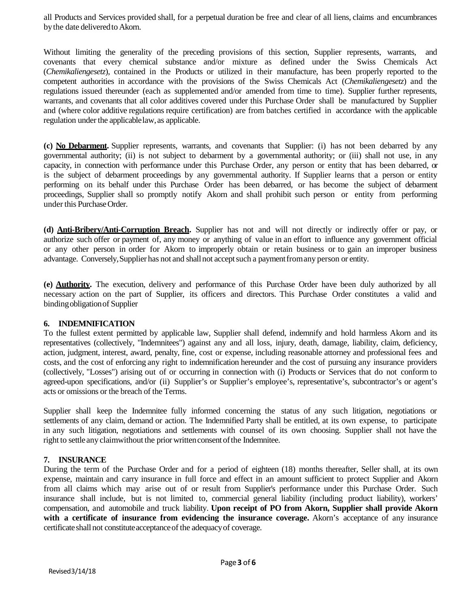all Products and Services provided shall, for a perpetual duration be free and clear of all liens, claims and encumbrances by the date delivered to Akorn.

Without limiting the generality of the preceding provisions of this section, Supplier represents, warrants, and covenants that every chemical substance and/or mixture as defined under the Swiss Chemicals Act (*Chemikaliengesetz*), contained in the Products or utilized in their manufacture, has been properly reported to the competent authorities in accordance with the provisions of the Swiss Chemicals Act (*Chemikaliengesetz*) and the regulations issued thereunder (each as supplemented and/or amended from time to time). Supplier further represents, warrants, and covenants that all color additives covered under this Purchase Order shall be manufactured by Supplier and (where color additive regulations require certification) are from batches certified in accordance with the applicable regulation under the applicable law, as applicable.

**(c) No Debarment.** Supplier represents, warrants, and covenants that Supplier: (i) has not been debarred by any governmental authority; (ii) is not subject to debarment by a governmental authority; or (iii) shall not use, in any capacity, in connection with performance under this Purchase Order, any person or entity that has been debarred, or is the subject of debarment proceedings by any governmental authority. If Supplier learns that a person or entity performing on its behalf under this Purchase Order has been debarred, or has become the subject of debarment proceedings, Supplier shall so promptly notify Akorn and shall prohibit such person or entity from performing under this PurchaseOrder.

**(d) Anti-Bribery/Anti-Corruption Breach.** Supplier has not and will not directly or indirectly offer or pay, or authorize such offer or payment of, any money or anything of value in an effort to influence any government official or any other person in order for Akorn to improperly obtain or retain business or to gain an improper business advantage. Conversely,Supplier has not and shallnot acceptsuch a paymentfromany person or entity.

**(e) Authority.** The execution, delivery and performance of this Purchase Order have been duly authorized by all necessary action on the part of Supplier, its officers and directors. This Purchase Order constitutes a valid and bindingobligationof Supplier

#### **6. INDEMNIFICATION**

To the fullest extent permitted by applicable law, Supplier shall defend, indemnify and hold harmless Akorn and its representatives (collectively, "Indemnitees") against any and all loss, injury, death, damage, liability, claim, deficiency, action, judgment, interest, award, penalty, fine, cost or expense, including reasonable attorney and professional fees and costs, and the cost of enforcing any right to indemnification hereunder and the cost of pursuing any insurance providers (collectively, "Losses") arising out of or occurring in connection with (i) Products or Services that do not conform to agreed-upon specifications, and/or (ii) Supplier's or Supplier's employee's, representative's, subcontractor's or agent's acts or omissions or the breach of the Terms.

Supplier shall keep the Indemnitee fully informed concerning the status of any such litigation, negotiations or settlements of any claim, demand or action. The Indemnified Party shall be entitled, at its own expense, to participate in any such litigation, negotiations and settlements with counsel of its own choosing. Supplier shall not have the right to settle any claimwithout the prior written consent of the Indemnitee.

#### **7. INSURANCE**

During the term of the Purchase Order and for a period of eighteen (18) months thereafter, Seller shall, at its own expense, maintain and carry insurance in full force and effect in an amount sufficient to protect Supplier and Akorn from all claims which may arise out of or result from Supplier's performance under this Purchase Order. Such insurance shall include, but is not limited to, commercial general liability (including product liability), workers' compensation, and automobile and truck liability. **Upon receipt of PO from Akorn, Supplier shall provide Akorn with a certificate of insurance from evidencing the insurance coverage.** Akorn's acceptance of any insurance certificate shall not constitute acceptance of the adequacy of coverage.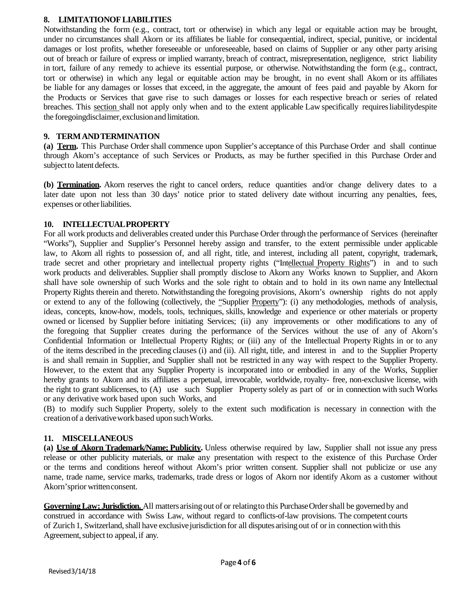#### **8. LIMITATIONOFLIABILITIES**

Notwithstanding the form (e.g., contract, tort or otherwise) in which any legal or equitable action may be brought, under no circumstances shall Akorn or its affiliates be liable for consequential, indirect, special, punitive, or incidental damages or lost profits, whether foreseeable or unforeseeable, based on claims of Supplier or any other party arising out of breach or failure of express or implied warranty, breach of contract, misrepresentation, negligence, strict liability in tort, failure of any remedy to achieve its essential purpose, or otherwise. Notwithstanding the form (e.g., contract, tort or otherwise) in which any legal or equitable action may be brought, in no event shall Akorn or its affiliates be liable for any damages or losses that exceed, in the aggregate, the amount of fees paid and payable by Akorn for the Products or Services that gave rise to such damages or losses for each respective breach or series of related breaches. This section shall not apply only when and to the extent applicable Law specifically requiresliabilitydespite the foregoingdisclaimer,exclusionand limitation.

#### **9. TERMANDTERMINATION**

(a) **Term.** This Purchase Order shall commence upon Supplier's acceptance of this Purchase Order and shall continue through Akorn's acceptance of such Services or Products, as may be further specified in this Purchase Order and subject to latent defects.

**(b) Termination.** Akorn reserves the right to cancel orders, reduce quantities and/or change delivery dates to a later date upon not less than 30 days' notice prior to stated delivery date without incurring any penalties, fees, expenses or other liabilities.

#### **10. INTELLECTUALPROPERTY**

For all work products and deliverables created under this Purchase Order through the performance of Services (hereinafter "Works"), Supplier and Supplier's Personnel hereby assign and transfer, to the extent permissible under applicable law, to Akorn all rights to possession of, and all right, title, and interest, including all patent, copyright, trademark, trade secret and other proprietary and intellectual property rights ("Intellectual Property Rights") in and to such work products and deliverables. Supplier shall promptly disclose to Akorn any Works known to Supplier, and Akorn shall have sole ownership of such Works and the sole right to obtain and to hold in its own name any Intellectual Property Rights therein and thereto. Notwithstanding the foregoing provisions, Akorn's ownership rights do not apply or extend to any of the following (collectively, the "Supplier Property"): (i) any methodologies, methods of analysis, ideas, concepts, know-how, models, tools, techniques, skills, knowledge and experience or other materials or property owned or licensed by Supplier before initiating Services; (ii) any improvements or other modifications to any of the foregoing that Supplier creates during the performance of the Services without the use of any of Akorn's Confidential Information or Intellectual Property Rights; or (iii) any of the Intellectual Property Rights in or to any of the items described in the preceding clauses (i) and (ii). All right, title, and interest in and to the Supplier Property is and shall remain in Supplier, and Supplier shall not be restricted in any way with respect to the Supplier Property. However, to the extent that any Supplier Property is incorporated into or embodied in any of the Works, Supplier hereby grants to Akorn and its affiliates a perpetual, irrevocable, worldwide, royalty- free, non-exclusive license, with the right to grant sublicenses, to (A) use such Supplier Property solely as part of or in connection with such Works or any derivative work based upon such Works, and

(B) to modify such Supplier Property, solely to the extent such modification is necessary in connection with the creationof a derivativeworkbased upon suchWorks.

#### **11. MISCELLANEOUS**

**(a) Use of Akorn Trademark/Name; Publicity.** Unless otherwise required by law, Supplier shall not issue any press release or other publicity materials, or make any presentation with respect to the existence of this Purchase Order or the terms and conditions hereof without Akorn's prior written consent. Supplier shall not publicize or use any name, trade name, service marks, trademarks, trade dress or logos of Akorn nor identify Akorn as a customer without Akorn'sprior writtenconsent.

Governing Law: **Jurisdiction.** All matters arising out of or relating to this Purchase Order shall be governed by and construed in accordance with Swiss Law, without regard to conflicts-of-law provisions. The competent courts of Zurich 1, Switzerland, shall have exclusive jurisdiction for all disputes arising out of or in connection with this Agreement, subject to appeal, if any.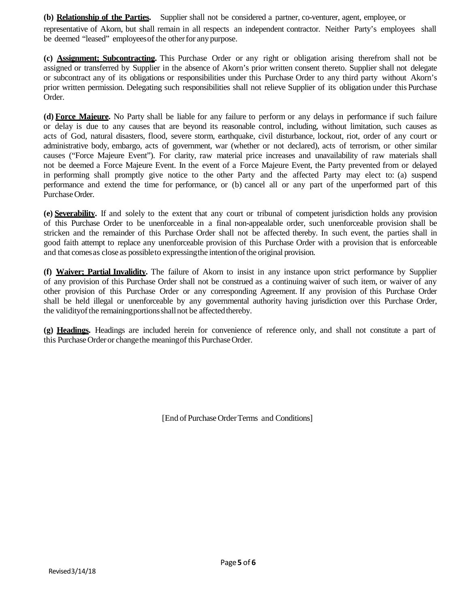**(b) Relationship of the Parties.** Supplier shall not be considered a partner, co-venturer, agent, employee, or representative of Akorn, but shall remain in all respects an independent contractor. Neither Party's employees shall be deemed "leased" employees of the other for any purpose.

**(c) Assignment; Subcontracting.** This Purchase Order or any right or obligation arising therefrom shall not be assigned or transferred by Supplier in the absence of Akorn's prior written consent thereto. Supplier shall not delegate or subcontract any of its obligations or responsibilities under this Purchase Order to any third party without Akorn's prior written permission. Delegating such responsibilities shall not relieve Supplier of its obligation under this Purchase Order.

**(d) Force Majeure.** No Party shall be liable for any failure to perform or any delays in performance if such failure or delay is due to any causes that are beyond its reasonable control, including, without limitation, such causes as acts of God, natural disasters, flood, severe storm, earthquake, civil disturbance, lockout, riot, order of any court or administrative body, embargo, acts of government, war (whether or not declared), acts of terrorism, or other similar causes ("Force Majeure Event"). For clarity, raw material price increases and unavailability of raw materials shall not be deemed a Force Majeure Event. In the event of a Force Majeure Event, the Party prevented from or delayed in performing shall promptly give notice to the other Party and the affected Party may elect to: (a) suspend performance and extend the time for performance, or (b) cancel all or any part of the unperformed part of this Purchase Order.

**(e) Severability.** If and solely to the extent that any court or tribunal of competent jurisdiction holds any provision of this Purchase Order to be unenforceable in a final non-appealable order, such unenforceable provision shall be stricken and the remainder of this Purchase Order shall not be affected thereby. In such event, the parties shall in good faith attempt to replace any unenforceable provision of this Purchase Order with a provision that is enforceable and that comes as close as possible to expressing the intention of the original provision.

**(f) Waiver; Partial Invalidity.** The failure of Akorn to insist in any instance upon strict performance by Supplier of any provision of this Purchase Order shall not be construed as a continuing waiver of such item, or waiver of any other provision of this Purchase Order or any corresponding Agreement. If any provision of this Purchase Order shall be held illegal or unenforceable by any governmental authority having jurisdiction over this Purchase Order, the validity of the remaining portions shall not be affected thereby.

**(g) Headings.** Headings are included herein for convenience of reference only, and shall not constitute a part of this Purchase Order or change the meaning of this Purchase Order.

[End of Purchase Order Terms and Conditions]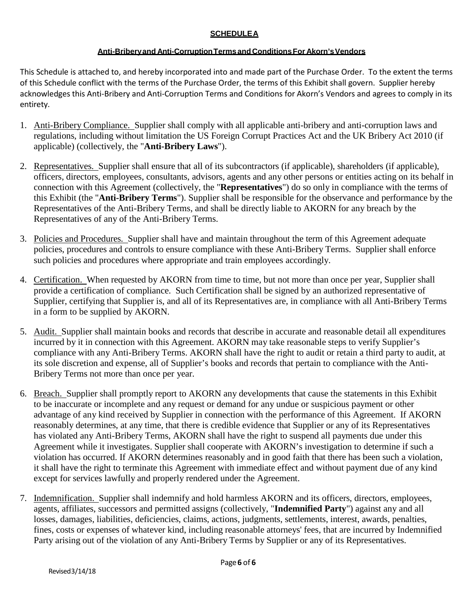# **SCHEDULEA**

# **Anti-Briberyand Anti-CorruptionTermsandConditionsFor Akorn'sVendors**

This Schedule is attached to, and hereby incorporated into and made part of the Purchase Order. To the extent the terms of this Schedule conflict with the terms of the Purchase Order, the terms of this Exhibit shall govern. Supplier hereby acknowledges this Anti-Bribery and Anti-Corruption Terms and Conditions for Akorn's Vendors and agrees to comply in its entirety.

- 1. Anti-Bribery Compliance. Supplier shall comply with all applicable anti-bribery and anti-corruption laws and regulations, including without limitation the US Foreign Corrupt Practices Act and the UK Bribery Act 2010 (if applicable) (collectively, the "**Anti-Bribery Laws**").
- 2. Representatives. Supplier shall ensure that all of its subcontractors (if applicable), shareholders (if applicable), officers, directors, employees, consultants, advisors, agents and any other persons or entities acting on its behalf in connection with this Agreement (collectively, the "**Representatives**") do so only in compliance with the terms of this Exhibit (the "**Anti-Bribery Terms**"). Supplier shall be responsible for the observance and performance by the Representatives of the Anti-Bribery Terms, and shall be directly liable to AKORN for any breach by the Representatives of any of the Anti-Bribery Terms.
- 3. Policies and Procedures*.* Supplier shall have and maintain throughout the term of this Agreement adequate policies, procedures and controls to ensure compliance with these Anti-Bribery Terms. Supplier shall enforce such policies and procedures where appropriate and train employees accordingly.
- 4. Certification. When requested by AKORN from time to time, but not more than once per year, Supplier shall provide a certification of compliance. Such Certification shall be signed by an authorized representative of Supplier, certifying that Supplier is, and all of its Representatives are, in compliance with all Anti-Bribery Terms in a form to be supplied by AKORN.
- 5. Audit. Supplier shall maintain books and records that describe in accurate and reasonable detail all expenditures incurred by it in connection with this Agreement. AKORN may take reasonable steps to verify Supplier's compliance with any Anti-Bribery Terms. AKORN shall have the right to audit or retain a third party to audit, at its sole discretion and expense, all of Supplier's books and records that pertain to compliance with the Anti-Bribery Terms not more than once per year.
- 6. Breach. Supplier shall promptly report to AKORN any developments that cause the statements in this Exhibit to be inaccurate or incomplete and any request or demand for any undue or suspicious payment or other advantage of any kind received by Supplier in connection with the performance of this Agreement. If AKORN reasonably determines, at any time, that there is credible evidence that Supplier or any of its Representatives has violated any Anti-Bribery Terms, AKORN shall have the right to suspend all payments due under this Agreement while it investigates. Supplier shall cooperate with AKORN's investigation to determine if such a violation has occurred. If AKORN determines reasonably and in good faith that there has been such a violation, it shall have the right to terminate this Agreement with immediate effect and without payment due of any kind except for services lawfully and properly rendered under the Agreement.
- 7. Indemnification. Supplier shall indemnify and hold harmless AKORN and its officers, directors, employees, agents, affiliates, successors and permitted assigns (collectively, "**Indemnified Party**") against any and all losses, damages, liabilities, deficiencies, claims, actions, judgments, settlements, interest, awards, penalties, fines, costs or expenses of whatever kind, including reasonable attorneys' fees, that are incurred by Indemnified Party arising out of the violation of any Anti-Bribery Terms by Supplier or any of its Representatives.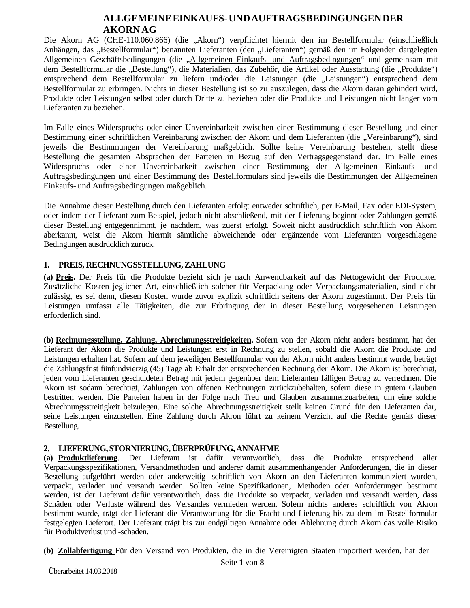# **ALLGEMEINE EINKAUFS- UND AUFTRAGSBEDINGUNGEN DER AKORN AG**

Die Akorn AG (CHE-110.060.866) (die "Akorn") verpflichtet hiermit den im Bestellformular (einschließlich Anhängen, das "Bestellformular") benannten Lieferanten (den "Lieferanten") gemäß den im Folgenden dargelegten Allgemeinen Geschäftsbedingungen (die "Allgemeinen Einkaufs- und Auftragsbedingungen" und gemeinsam mit dem Bestellformular die "Bestellung"), die Materialien, das Zubehör, die Artikel oder Ausstattung (die "Produkte") entsprechend dem Bestellformular zu liefern und/oder die Leistungen (die "Leistungen") entsprechend dem Bestellformular zu erbringen. Nichts in dieser Bestellung ist so zu auszulegen, dass die Akorn daran gehindert wird, Produkte oder Leistungen selbst oder durch Dritte zu beziehen oder die Produkte und Leistungen nicht länger vom Lieferanten zu beziehen.

Im Falle eines Widerspruchs oder einer Unvereinbarkeit zwischen einer Bestimmung dieser Bestellung und einer Bestimmung einer schriftlichen Vereinbarung zwischen der Akorn und dem Lieferanten (die "Vereinbarung"), sind jeweils die Bestimmungen der Vereinbarung maßgeblich. Sollte keine Vereinbarung bestehen, stellt diese Bestellung die gesamten Absprachen der Parteien in Bezug auf den Vertragsgegenstand dar. Im Falle eines Widerspruchs oder einer Unvereinbarkeit zwischen einer Bestimmung der Allgemeinen Einkaufs- und Auftragsbedingungen und einer Bestimmung des Bestellformulars sind jeweils die Bestimmungen der Allgemeinen Einkaufs- und Auftragsbedingungen maßgeblich.

Die Annahme dieser Bestellung durch den Lieferanten erfolgt entweder schriftlich, per E-Mail, Fax oder EDI-System, oder indem der Lieferant zum Beispiel, jedoch nicht abschließend, mit der Lieferung beginnt oder Zahlungen gemäß dieser Bestellung entgegennimmt, je nachdem, was zuerst erfolgt. Soweit nicht ausdrücklich schriftlich von Akorn aberkannt, weist die Akorn hiermit sämtliche abweichende oder ergänzende vom Lieferanten vorgeschlagene Bedingungen ausdrücklich zurück.

### **1. PREIS, RECHNUNGSSTELLUNG,ZAHLUNG**

**(a) Preis.** Der Preis für die Produkte bezieht sich je nach Anwendbarkeit auf das Nettogewicht der Produkte. Zusätzliche Kosten jeglicher Art, einschließlich solcher für Verpackung oder Verpackungsmaterialien, sind nicht zulässig, es sei denn, diesen Kosten wurde zuvor explizit schriftlich seitens der Akorn zugestimmt. Der Preis für Leistungen umfasst alle Tätigkeiten, die zur Erbringung der in dieser Bestellung vorgesehenen Leistungen erforderlich sind.

**(b) Rechnungsstellung, Zahlung, Abrechnungsstreitigkeiten.** Sofern von der Akorn nicht anders bestimmt, hat der Lieferant der Akorn die Produkte und Leistungen erst in Rechnung zu stellen, sobald die Akorn die Produkte und Leistungen erhalten hat. Sofern auf dem jeweiligen Bestellformular von der Akorn nicht anders bestimmt wurde, beträgt die Zahlungsfrist fünfundvierzig (45) Tage ab Erhalt der entsprechenden Rechnung der Akorn. Die Akorn ist berechtigt, jeden vom Lieferanten geschuldeten Betrag mit jedem gegenüber dem Lieferanten fälligen Betrag zu verrechnen. Die Akorn ist sodann berechtigt, Zahlungen von offenen Rechnungen zurückzubehalten, sofern diese in gutem Glauben bestritten werden. Die Parteien haben in der Folge nach Treu und Glauben zusammenzuarbeiten, um eine solche Abrechnungsstreitigkeit beizulegen. Eine solche Abrechnungsstreitigkeit stellt keinen Grund für den Lieferanten dar, seine Leistungen einzustellen. Eine Zahlung durch Akron führt zu keinem Verzicht auf die Rechte gemäß dieser Bestellung.

# **2. LIEFERUNG,STORNIERUNG,ÜBERPRÜFUNG,ANNAHME**

**(a) Produktlieferung**. Der Lieferant ist dafür verantwortlich, dass die Produkte entsprechend aller Verpackungsspezifikationen, Versandmethoden und anderer damit zusammenhängender Anforderungen, die in dieser Bestellung aufgeführt werden oder anderweitig schriftlich von Akorn an den Lieferanten kommuniziert wurden, verpackt, verladen und versandt werden. Sollten keine Spezifikationen, Methoden oder Anforderungen bestimmt werden, ist der Lieferant dafür verantwortlich, dass die Produkte so verpackt, verladen und versandt werden, dass Schäden oder Verluste während des Versandes vermieden werden. Sofern nichts anderes schriftlich von Akron bestimmt wurde, trägt der Lieferant die Verantwortung für die Fracht und Lieferung bis zu dem im Bestellformular festgelegten Lieferort. Der Lieferant trägt bis zur endgültigen Annahme oder Ablehnung durch Akorn das volle Risiko für Produktverlust und -schaden.

**(b) Zollabfertigung** Für den Versand von Produkten, die in die Vereinigten Staaten importiert werden, hat der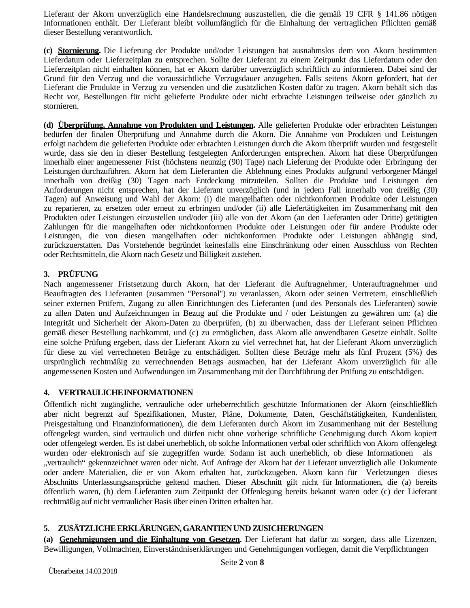Lieferant der Akorn unverzüglich eine Handelsrechnung auszustellen, die die gemäß 19 CFR § 141.86 nötigen Informationen enthält. Der Lieferant bleibt vollumfänglich für die Einhaltung der vertraglichen Pflichten gemäß dieser Bestellung verantwortlich.

**(c) Stornierung.** Die Lieferung der Produkte und/oder Leistungen hat ausnahmslos dem von Akorn bestimmten Lieferdatum oder Lieferzeitplan zu entsprechen. Sollte der Lieferant zu einem Zeitpunkt das Lieferdatum oder den Lieferzeitplan nicht einhalten können, hat er Akorn darüber unverzüglich schriftlich zu informieren. Dabei sind der Grund für den Verzug und die voraussichtliche Verzugsdauer anzugeben. Falls seitens Akorn gefordert, hat der Lieferant die Produkte in Verzug zu versenden und die zusätzlichen Kosten dafür zu tragen. Akorn behält sich das Recht vor, Bestellungen für nicht gelieferte Produkte oder nicht erbrachte Leistungen teilweise oder gänzlich zu stornieren.

**(d) Überprüfung, Annahme von Produkten und Leistungen.** Alle gelieferten Produkte oder erbrachten Leistungen bedürfen der finalen Überprüfung und Annahme durch die Akorn. Die Annahme von Produkten und Leistungen erfolgt nachdem die gelieferten Produkte oder erbrachten Leistungen durch die Akorn überprüft wurden und festgestellt wurde, dass sie den in dieser Bestellung festgelegten Anforderungen entsprechen. Akorn hat diese Überprüfungen innerhalb einer angemessener Frist (höchstens neunzig (90) Tage) nach Lieferung der Produkte oder Erbringung der Leistungen durchzuführen. Akorn hat dem Lieferanten die Ablehnung eines Produkts aufgrund verborgener Mängel innerhalb von dreißig (30) Tagen nach Entdeckung mitzuteilen. Sollten die Produkte und Leistungen den Anforderungen nicht entsprechen, hat der Lieferant unverzüglich (und in jedem Fall innerhalb von dreißig (30) Tagen) auf Anweisung und Wahl der Akorn: (i) die mangelhaften oder nichtkonformen Produkte oder Leistungen zu reparieren, zu ersetzen oder erneut zu erbringen und/oder (ii) alle Liefertätigkeiten im Zusammenhang mit den Produkten oder Leistungen einzustellen und/oder (iii) alle von der Akorn (an den Lieferanten oder Dritte) getätigten Zahlungen für die mangelhaften oder nichtkonformen Produkte oder Leistungen oder für andere Produkte oder Leistungen, die von diesen mangelhaften oder nichtkonformen Produkte oder Leistungen abhängig sind, zurückzuerstatten. Das Vorstehende begründet keinesfalls eine Einschränkung oder einen Ausschluss von Rechten oder Rechtsmitteln, die Akorn nach Gesetz und Billigkeit zustehen.

# **3. PRÜFUNG**

Nach angemessener Fristsetzung durch Akorn, hat der Lieferant die Auftragnehmer, Unterauftragnehmer und Beauftragten des Lieferanten (zusammen "Personal") zu veranlassen, Akorn oder seinen Vertretern, einschließlich seiner externen Prüfern, Zugang zu allen Einrichtungen des Lieferanten (und des Personals des Lieferanten) sowie zu allen Daten und Aufzeichnungen in Bezug auf die Produkte und / oder Leistungen zu gewähren um: (a) die Integrität und Sicherheit der Akorn-Daten zu überprüfen, (b) zu überwachen, dass der Lieferant seinen Pflichten gemäß dieser Bestellung nachkommt, und (c) zu ermöglichen, dass Akorn alle anwendbaren Gesetze einhält. Sollte eine solche Prüfung ergeben, dass der Lieferant Akorn zu viel verrechnet hat, hat der Lieferant Akorn unverzüglich für diese zu viel verrechneten Beträge zu entschädigen. Sollten diese Beträge mehr als fünf Prozent (5%) des ursprünglich rechtmäßig zu verrechnenden Betrags ausmachen, hat der Lieferant Akorn unverzüglich für alle angemessenen Kosten und Aufwendungen im Zusammenhang mit der Durchführung der Prüfung zu entschädigen.

# **4. VERTRAULICHEINFORMATIONEN**

Öffentlich nicht zugängliche, vertrauliche oder urheberrechtlich geschützte Informationen der Akorn (einschließlich aber nicht begrenzt auf Spezifikationen, Muster, Pläne, Dokumente, Daten, Geschäftstätigkeiten, Kundenlisten, Preisgestaltung und Finanzinformationen), die dem Lieferanten durch Akorn im Zusammenhang mit der Bestellung offengelegt wurden, sind vertraulich und dürfen nicht ohne vorherige schriftliche Genehmigung durch Akorn kopiert oder offengelegt werden. Es ist dabei unerheblich, ob solche Informationen verbal oder schriftlich von Akorn offengelegt wurden oder elektronisch auf sie zugegriffen wurde. Sodann ist auch unerheblich, ob diese Informationen als "vertraulich" gekennzeichnet waren oder nicht. Auf Anfrage der Akorn hat der Lieferant unverzüglich alle Dokumente oder andere Materialien, die er von Akorn erhalten hat, zurückzugeben. Akorn kann für Verletzungen dieses Abschnitts Unterlassungsansprüche geltend machen. Dieser Abschnitt gilt nicht für Informationen, die (a) bereits öffentlich waren, (b) dem Lieferanten zum Zeitpunkt der Offenlegung bereits bekannt waren oder (c) der Lieferant rechtmäßig auf nicht vertraulicher Basis über einen Dritten erhalten hat.

# **5. ZUSÄTZLICHEERKLÄRUNGEN,GARANTIENUND ZUSICHERUNGEN**

**(a) Genehmigungen und die Einhaltung von Gesetzen.** Der Lieferant hat dafür zu sorgen, dass alle Lizenzen, Bewilligungen, Vollmachten, Einverständniserklärungen und Genehmigungen vorliegen, damit die Verpflichtungen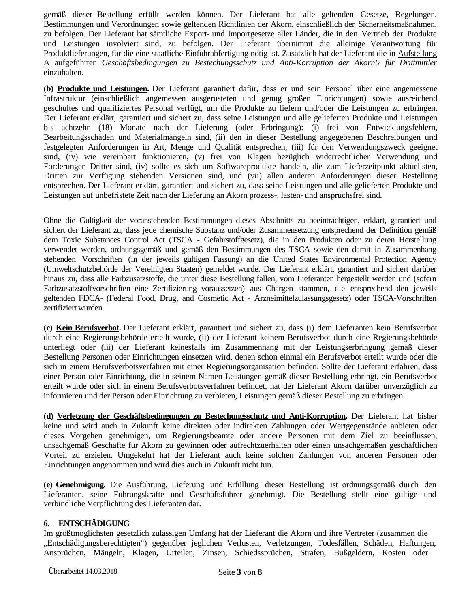gemäß dieser Bestellung erfüllt werden können. Der Lieferant hat alle geltenden Gesetze, Regelungen, Bestimmungen und Verordnungen sowie geltenden Richtlinien der Akorn, einschließlich der Sicherheitsmaßnahmen, zu befolgen. Der Lieferant hat sämtliche Export- und Importgesetze aller Länder, die in den Vertrieb der Produkte und Leistungen involviert sind, zu befolgen. Der Lieferant übernimmt die alleinige Verantwortung für Produktlieferungen, für die eine staatliche Einfuhrabfertigung nötig ist. Zusätzlich hat der Lieferant die in Aufstellung A aufgeführten *Geschäftsbedingungen zu Bestechungsschutz und Anti-Korruption der Akorn's für Drittmittler*  einzuhalten.

**(b) Produkte und Leistungen.** Der Lieferant garantiert dafür, dass er und sein Personal über eine angemessene Infrastruktur (einschließlich angemessen ausgerüsteten und genug großen Einrichtungen) sowie ausreichend geschultes und qualifiziertes Personal verfügt, um die Produkte zu liefern und/oder die Leistungen zu erbringen. Der Lieferant erklärt, garantiert und sichert zu, dass seine Leistungen und alle gelieferten Produkte und Leistungen bis achtzehn (18) Monate nach der Lieferung (oder Erbringung): (i) frei von Entwicklungsfehlern, Bearbeitungsschäden und Materialmängeln sind, (ii) den in dieser Bestellung angegebenen Beschreibungen und festgelegten Anforderungen in Art, Menge und Qualität entsprechen, (iii) für den Verwendungszweck geeignet sind, (iv) wie vereinbart funktionieren, (v) frei von Klagen bezüglich widerrechtlicher Verwendung und Forderungen Dritter sind, (iv) sollte es sich um Softwareprodukte handeln, die zum Lieferzeitpunkt aktuellsten, Dritten zur Verfügung stehenden Versionen sind, und (vii) allen anderen Anforderungen dieser Bestellung entsprechen. Der Lieferant erklärt, garantiert und sichert zu, dass seine Leistungen und alle gelieferten Produkte und Leistungen auf unbefristete Zeit nach der Lieferung an Akorn prozess-, lasten- und anspruchsfrei sind.

Ohne die Gültigkeit der voranstehenden Bestimmungen dieses Abschnitts zu beeinträchtigen, erklärt, garantiert und sichert der Lieferant zu, dass jede chemische Substanz und/oder Zusammensetzung entsprechend der Definition gemäß dem Toxic Substances Control Act (TSCA - Gefahrstoffgesetz), die in den Produkten oder zu deren Herstellung verwendet werden, ordnungsgemäß und gemäß den Bestimmungen des TSCA sowie den damit in Zusammenhang stehenden Vorschriften (in der jeweils gültigen Fassung) an die United States Environmental Protection Agency (Umweltschutzbehörde der Vereinigten Staaten) gemeldet wurde. Der Lieferant erklärt, garantiert und sichert darüber hinaus zu, dass alle Farbzusatzstoffe, die unter diese Bestellung fallen, vom Lieferanten hergestellt werden und (sofern Farbzusatzstoffvorschriften eine Zertifizierung voraussetzen) aus Chargen stammen, die entsprechend den jeweils geltenden FDCA- (Federal Food, Drug, and Cosmetic Act - Arzneimittelzulassungsgesetz) oder TSCA-Vorschriften zertifiziert wurden.

**(c) Kein Berufsverbot.** Der Lieferant erklärt, garantiert und sichert zu, dass (i) dem Lieferanten kein Berufsverbot durch eine Regierungsbehörde erteilt wurde, (ii) der Lieferant keinem Berufsverbot durch eine Regierungsbehörde unterliegt oder (iii) der Lieferant keinesfalls im Zusammenhang mit der Leistungserbringung gemäß dieser Bestellung Personen oder Einrichtungen einsetzen wird, denen schon einmal ein Berufsverbot erteilt wurde oder die sich in einem Berufsverbotsverfahren mit einer Regierungsorganisation befinden. Sollte der Lieferant erfahren, dass einer Person oder Einrichtung, die in seinem Namen Leistungen gemäß dieser Bestellung erbringt, ein Berufsverbot erteilt wurde oder sich in einem Berufsverbotsverfahren befindet, hat der Lieferant Akorn darüber unverzüglich zu informieren und der Person oder Einrichtung zu verbieten, Leistungen gemäß dieser Bestellung zu erbringen.

**(d) Verletzung der Geschäftsbedingungen zu Bestechungsschutz und Anti-Korruption.** Der Lieferant hat bisher keine und wird auch in Zukunft keine direkten oder indirekten Zahlungen oder Wertgegenstände anbieten oder dieses Vorgehen genehmigen, um Regierungsbeamte oder andere Personen mit dem Ziel zu beeinflussen, unsachgemäß Geschäfte für Akorn zu gewinnen oder aufrechtzuerhalten oder einen unsachgemäßen geschäftlichen Vorteil zu erzielen. Umgekehrt hat der Lieferant auch keine solchen Zahlungen von anderen Personen oder Einrichtungen angenommen und wird dies auch in Zukunft nicht tun.

**(e) Genehmigung.** Die Ausführung, Lieferung und Erfüllung dieser Bestellung ist ordnungsgemäß durch den Lieferanten, seine Führungskräfte und Geschäftsführer genehmigt. Die Bestellung stellt eine gültige und verbindliche Verpflichtung des Lieferanten dar.

### **6. ENTSCHÄDIGUNG**

Im größtmöglichsten gesetzlich zulässigen Umfang hat der Lieferant die Akorn und ihre Vertreter (zusammen die "Entschädigungsberechtigten") gegenüber jeglichen Verlusten, Verletzungen, Todesfällen, Schäden, Haftungen, Ansprüchen, Mängeln, Klagen, Urteilen, Zinsen, Schiedssprüchen, Strafen, Bußgeldern, Kosten oder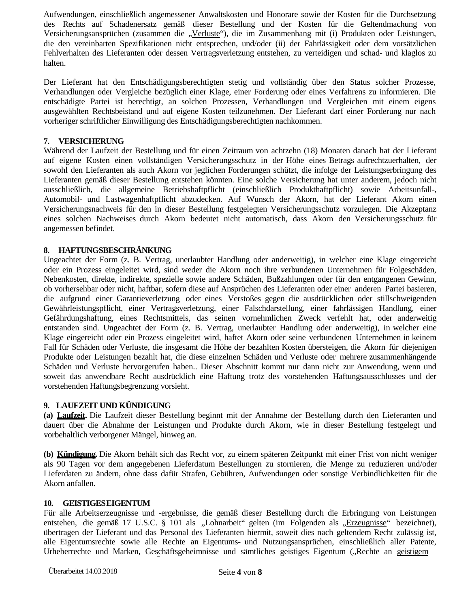Aufwendungen, einschließlich angemessener Anwaltskosten und Honorare sowie der Kosten für die Durchsetzung des Rechts auf Schadenersatz gemäß dieser Bestellung und der Kosten für die Geltendmachung von Versicherungsansprüchen (zusammen die "Verluste"), die im Zusammenhang mit (i) Produkten oder Leistungen, die den vereinbarten Spezifikationen nicht entsprechen, und/oder (ii) der Fahrlässigkeit oder dem vorsätzlichen Fehlverhalten des Lieferanten oder dessen Vertragsverletzung entstehen, zu verteidigen und schad- und klaglos zu halten.

Der Lieferant hat den Entschädigungsberechtigten stetig und vollständig über den Status solcher Prozesse, Verhandlungen oder Vergleiche bezüglich einer Klage, einer Forderung oder eines Verfahrens zu informieren. Die entschädigte Partei ist berechtigt, an solchen Prozessen, Verhandlungen und Vergleichen mit einem eigens ausgewählten Rechtsbeistand und auf eigene Kosten teilzunehmen. Der Lieferant darf einer Forderung nur nach vorheriger schriftlicher Einwilligung des Entschädigungsberechtigten nachkommen.

### **7. VERSICHERUNG**

Während der Laufzeit der Bestellung und für einen Zeitraum von achtzehn (18) Monaten danach hat der Lieferant auf eigene Kosten einen vollständigen Versicherungsschutz in der Höhe eines Betrags aufrechtzuerhalten, der sowohl den Lieferanten als auch Akorn vor jeglichen Forderungen schützt, die infolge der Leistungserbringung des Lieferanten gemäß dieser Bestellung entstehen könnten. Eine solche Versicherung hat unter anderem, jedoch nicht ausschließlich, die allgemeine Betriebshaftpflicht (einschließlich Produkthaftpflicht) sowie Arbeitsunfall-, Automobil- und Lastwagenhaftpflicht abzudecken. Auf Wunsch der Akorn, hat der Lieferant Akorn einen Versicherungsnachweis für den in dieser Bestellung festgelegten Versicherungsschutz vorzulegen. Die Akzeptanz eines solchen Nachweises durch Akorn bedeutet nicht automatisch, dass Akorn den Versicherungsschutz für angemessen befindet.

### **8. HAFTUNGSBESCHRÄNKUNG**

Ungeachtet der Form (z. B. Vertrag, unerlaubter Handlung oder anderweitig), in welcher eine Klage eingereicht oder ein Prozess eingeleitet wird, sind weder die Akorn noch ihre verbundenen Unternehmen für Folgeschäden, Nebenkosten, direkte, indirekte, spezielle sowie andere Schäden, Bußzahlungen oder für den entgangenen Gewinn, ob vorhersehbar oder nicht, haftbar, sofern diese auf Ansprüchen des Lieferanten oder einer anderen Partei basieren, die aufgrund einer Garantieverletzung oder eines Verstoßes gegen die ausdrücklichen oder stillschweigenden Gewährleistungspflicht, einer Vertragsverletzung, einer Falschdarstellung, einer fahrlässigen Handlung, einer Gefährdungshaftung, eines Rechtsmittels, das seinen vornehmlichen Zweck verfehlt hat, oder anderweitig entstanden sind. Ungeachtet der Form (z. B. Vertrag, unerlaubter Handlung oder anderweitig), in welcher eine Klage eingereicht oder ein Prozess eingeleitet wird, haftet Akorn oder seine verbundenen Unternehmen in keinem Fall für Schäden oder Verluste, die insgesamt die Höhe der bezahlten Kosten übersteigen, die Akorn für diejenigen Produkte oder Leistungen bezahlt hat, die diese einzelnen Schäden und Verluste oder mehrere zusammenhängende Schäden und Verluste hervorgerufen haben.. Dieser Abschnitt kommt nur dann nicht zur Anwendung, wenn und soweit das anwendbare Recht ausdrücklich eine Haftung trotz des vorstehenden Haftungsausschlusses und der vorstehenden Haftungsbegrenzung vorsieht.

#### **9. LAUFZEIT UND KÜNDIGUNG**

**(a) Laufzeit.** Die Laufzeit dieser Bestellung beginnt mit der Annahme der Bestellung durch den Lieferanten und dauert über die Abnahme der Leistungen und Produkte durch Akorn, wie in dieser Bestellung festgelegt und vorbehaltlich verborgener Mängel, hinweg an.

**(b) Kündigung.** Die Akorn behält sich das Recht vor, zu einem späteren Zeitpunkt mit einer Frist von nicht weniger als 90 Tagen vor dem angegebenen Lieferdatum Bestellungen zu stornieren, die Menge zu reduzieren und/oder Lieferdaten zu ändern, ohne dass dafür Strafen, Gebühren, Aufwendungen oder sonstige Verbindlichkeiten für die Akorn anfallen.

#### **10. GEISTIGESEIGENTUM**

Für alle Arbeitserzeugnisse und -ergebnisse, die gemäß dieser Bestellung durch die Erbringung von Leistungen entstehen, die gemäß 17 U.S.C. § 101 als "Lohnarbeit" gelten (im Folgenden als "Erzeugnisse" bezeichnet), übertragen der Lieferant und das Personal des Lieferanten hiermit, soweit dies nach geltendem Recht zulässig ist, alle Eigentumsrechte sowie alle Rechte an Eigentums- und Nutzungsansprüchen, einschließlich aller Patente, Urheberrechte und Marken, Geschäftsgeheimnisse und sämtliches geistiges Eigentum ("Rechte an geistigem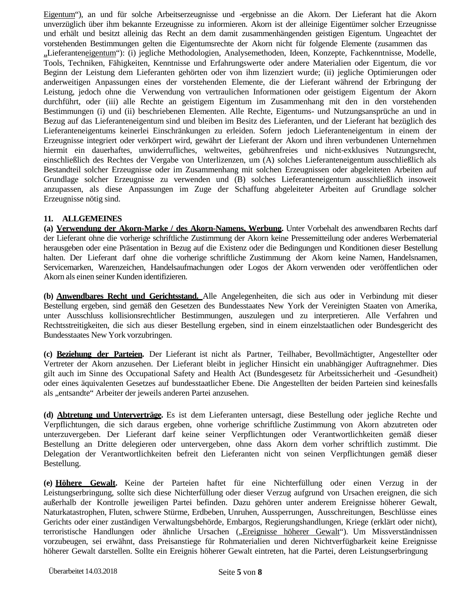Eigentum"), an und für solche Arbeitserzeugnisse und -ergebnisse an die Akorn. Der Lieferant hat die Akorn unverzüglich über ihm bekannte Erzeugnisse zu informieren. Akorn ist der alleinige Eigentümer solcher Erzeugnisse und erhält und besitzt alleinig das Recht an dem damit zusammenhängenden geistigen Eigentum. Ungeachtet der vorstehenden Bestimmungen gelten die Eigentumsrechte der Akorn nicht für folgende Elemente (zusammen das "Lieferanteneigentum"): (i) jegliche Methodologien, Analysemethoden, Ideen, Konzepte, Fachkenntnisse, Modelle, Tools, Techniken, Fähigkeiten, Kenntnisse und Erfahrungswerte oder andere Materialien oder Eigentum, die vor Beginn der Leistung dem Lieferanten gehörten oder von ihm lizenziert wurde; (ii) jegliche Optimierungen oder anderweitigen Anpassungen eines der vorstehenden Elemente, die der Lieferant während der Erbringung der Leistung, jedoch ohne die Verwendung von vertraulichen Informationen oder geistigem Eigentum der Akorn durchführt, oder (iii) alle Rechte an geistigem Eigentum im Zusammenhang mit den in den vorstehenden Bestimmungen (i) und (ii) beschriebenen Elementen. Alle Rechte, Eigentums- und Nutzungsansprüche an und in Bezug auf das Lieferanteneigentum sind und bleiben im Besitz des Lieferanten, und der Lieferant hat bezüglich des Lieferanteneigentums keinerlei Einschränkungen zu erleiden. Sofern jedoch Lieferanteneigentum in einem der Erzeugnisse integriert oder verkörpert wird, gewährt der Lieferant der Akorn und ihren verbundenen Unternehmen hiermit ein dauerhaftes, unwiderrufliches, weltweites, gebührenfreies und nicht-exklusives Nutzungsrecht, einschließlich des Rechtes der Vergabe von Unterlizenzen, um (A) solches Lieferanteneigentum ausschließlich als Bestandteil solcher Erzeugnisse oder im Zusammenhang mit solchen Erzeugnissen oder abgeleiteten Arbeiten auf Grundlage solcher Erzeugnisse zu verwenden und (B) solches Lieferanteneigentum ausschließlich insoweit anzupassen, als diese Anpassungen im Zuge der Schaffung abgeleiteter Arbeiten auf Grundlage solcher Erzeugnisse nötig sind.

#### **11. ALLGEMEINES**

**(a) Verwendung der Akorn-Marke / des Akorn-Namens, Werbung.** Unter Vorbehalt des anwendbaren Rechts darf der Lieferant ohne die vorherige schriftliche Zustimmung der Akorn keine Pressemitteilung oder anderes Werbematerial herausgeben oder eine Präsentation in Bezug auf die Existenz oder die Bedingungen und Konditionen dieser Bestellung halten. Der Lieferant darf ohne die vorherige schriftliche Zustimmung der Akorn keine Namen, Handelsnamen, Servicemarken, Warenzeichen, Handelsaufmachungen oder Logos der Akorn verwenden oder veröffentlichen oder Akorn als einen seiner Kunden identifizieren.

**(b) Anwendbares Recht und Gerichtsstand.** Alle Angelegenheiten, die sich aus oder in Verbindung mit dieser Bestellung ergeben, sind gemäß den Gesetzen des Bundesstaates New York der Vereinigten Staaten von Amerika, unter Ausschluss kollisionsrechtlicher Bestimmungen, auszulegen und zu interpretieren. Alle Verfahren und Rechtsstreitigkeiten, die sich aus dieser Bestellung ergeben, sind in einem einzelstaatlichen oder Bundesgericht des Bundesstaates New York vorzubringen.

**(c) Beziehung der Parteien.** Der Lieferant ist nicht als Partner, Teilhaber, Bevollmächtigter, Angestellter oder Vertreter der Akorn anzusehen. Der Lieferant bleibt in jeglicher Hinsicht ein unabhängiger Auftragnehmer. Dies gilt auch im Sinne des Occupational Safety and Health Act (Bundesgesetz für Arbeitssicherheit und -Gesundheit) oder eines äquivalenten Gesetzes auf bundesstaatlicher Ebene. Die Angestellten der beiden Parteien sind keinesfalls als "entsandte" Arbeiter der jeweils anderen Partei anzusehen.

**(d) Abtretung und Unterverträge.** Es ist dem Lieferanten untersagt, diese Bestellung oder jegliche Rechte und Verpflichtungen, die sich daraus ergeben, ohne vorherige schriftliche Zustimmung von Akorn abzutreten oder unterzuvergeben. Der Lieferant darf keine seiner Verpflichtungen oder Verantwortlichkeiten gemäß dieser Bestellung an Dritte delegieren oder untervergeben, ohne dass Akorn dem vorher schriftlich zustimmt. Die Delegation der Verantwortlichkeiten befreit den Lieferanten nicht von seinen Verpflichtungen gemäß dieser Bestellung.

**(e) Höhere Gewalt.** Keine der Parteien haftet für eine Nichterfüllung oder einen Verzug in der Leistungserbringung, sollte sich diese Nichterfüllung oder dieser Verzug aufgrund von Ursachen ereignen, die sich außerhalb der Kontrolle jeweiligen Partei befinden. Dazu gehören unter anderem Ereignisse höherer Gewalt, Naturkatastrophen, Fluten, schwere Stürme, Erdbeben, Unruhen, Aussperrungen, Ausschreitungen, Beschlüsse eines Gerichts oder einer zuständigen Verwaltungsbehörde, Embargos, Regierungshandlungen, Kriege (erklärt oder nicht), terroristische Handlungen oder ähnliche Ursachen ("Ereignisse höherer Gewalt"). Um Missverständnissen vorzubeugen, sei erwähnt, dass Preisanstiege für Rohmaterialien und deren Nichtverfügbarkeit keine Ereignisse höherer Gewalt darstellen. Sollte ein Ereignis höherer Gewalt eintreten, hat die Partei, deren Leistungserbringung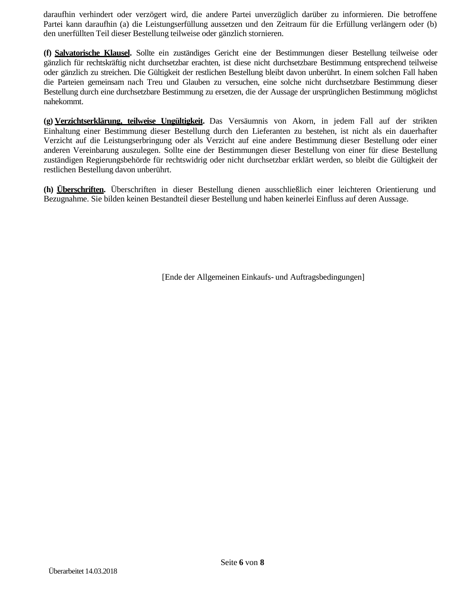daraufhin verhindert oder verzögert wird, die andere Partei unverzüglich darüber zu informieren. Die betroffene Partei kann daraufhin (a) die Leistungserfüllung aussetzen und den Zeitraum für die Erfüllung verlängern oder (b) den unerfüllten Teil dieser Bestellung teilweise oder gänzlich stornieren.

**(f) Salvatorische Klausel.** Sollte ein zuständiges Gericht eine der Bestimmungen dieser Bestellung teilweise oder gänzlich für rechtskräftig nicht durchsetzbar erachten, ist diese nicht durchsetzbare Bestimmung entsprechend teilweise oder gänzlich zu streichen. Die Gültigkeit der restlichen Bestellung bleibt davon unberührt. In einem solchen Fall haben die Parteien gemeinsam nach Treu und Glauben zu versuchen, eine solche nicht durchsetzbare Bestimmung dieser Bestellung durch eine durchsetzbare Bestimmung zu ersetzen, die der Aussage der ursprünglichen Bestimmung möglichst nahekommt.

**(g) Verzichtserklärung, teilweise Ungültigkeit.** Das Versäumnis von Akorn, in jedem Fall auf der strikten Einhaltung einer Bestimmung dieser Bestellung durch den Lieferanten zu bestehen, ist nicht als ein dauerhafter Verzicht auf die Leistungserbringung oder als Verzicht auf eine andere Bestimmung dieser Bestellung oder einer anderen Vereinbarung auszulegen. Sollte eine der Bestimmungen dieser Bestellung von einer für diese Bestellung zuständigen Regierungsbehörde für rechtswidrig oder nicht durchsetzbar erklärt werden, so bleibt die Gültigkeit der restlichen Bestellung davon unberührt.

**(h) Überschriften.** Überschriften in dieser Bestellung dienen ausschließlich einer leichteren Orientierung und Bezugnahme. Sie bilden keinen Bestandteil dieser Bestellung und haben keinerlei Einfluss auf deren Aussage.

[Ende der Allgemeinen Einkaufs- und Auftragsbedingungen]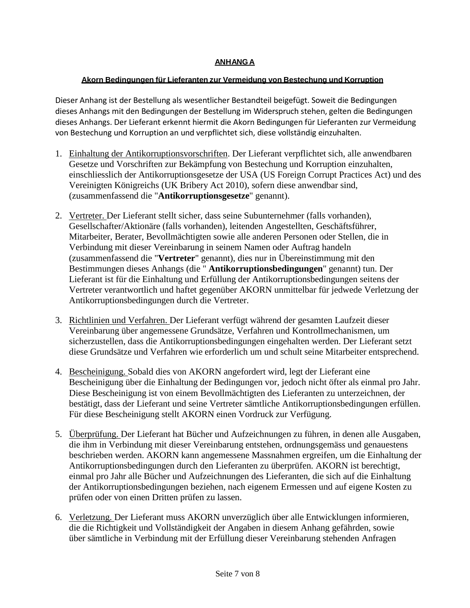### **ANHANGA**

### **Akorn Bedingungen für Lieferanten zur Vermeidung von Bestechung und Korruption**

Dieser Anhang ist der Bestellung als wesentlicher Bestandteil beigefügt. Soweit die Bedingungen dieses Anhangs mit den Bedingungen der Bestellung im Widerspruch stehen, gelten die Bedingungen dieses Anhangs. Der Lieferant erkennt hiermit die Akorn Bedingungen für Lieferanten zur Vermeidung von Bestechung und Korruption an und verpflichtet sich, diese vollständig einzuhalten.

- 1. Einhaltung der Antikorruptionsvorschriften. Der Lieferant verpflichtet sich, alle anwendbaren Gesetze und Vorschriften zur Bekämpfung von Bestechung und Korruption einzuhalten, einschliesslich der Antikorruptionsgesetze der USA (US Foreign Corrupt Practices Act) und des Vereinigten Königreichs (UK Bribery Act 2010), sofern diese anwendbar sind, (zusammenfassend die "**Antikorruptionsgesetze**" genannt).
- 2. Vertreter. Der Lieferant stellt sicher, dass seine Subunternehmer (falls vorhanden), Gesellschafter/Aktionäre (falls vorhanden), leitenden Angestellten, Geschäftsführer, Mitarbeiter, Berater, Bevollmächtigten sowie alle anderen Personen oder Stellen, die in Verbindung mit dieser Vereinbarung in seinem Namen oder Auftrag handeln (zusammenfassend die "**Vertreter**" genannt), dies nur in Übereinstimmung mit den Bestimmungen dieses Anhangs (die " **Antikorruptionsbedingungen**" genannt) tun. Der Lieferant ist für die Einhaltung und Erfüllung der Antikorruptionsbedingungen seitens der Vertreter verantwortlich und haftet gegenüber AKORN unmittelbar für jedwede Verletzung der Antikorruptionsbedingungen durch die Vertreter.
- 3. Richtlinien und Verfahren. Der Lieferant verfügt während der gesamten Laufzeit dieser Vereinbarung über angemessene Grundsätze, Verfahren und Kontrollmechanismen, um sicherzustellen, dass die Antikorruptionsbedingungen eingehalten werden. Der Lieferant setzt diese Grundsätze und Verfahren wie erforderlich um und schult seine Mitarbeiter entsprechend.
- 4. Bescheinigung. Sobald dies von AKORN angefordert wird, legt der Lieferant eine Bescheinigung über die Einhaltung der Bedingungen vor, jedoch nicht öfter als einmal pro Jahr. Diese Bescheinigung ist von einem Bevollmächtigten des Lieferanten zu unterzeichnen, der bestätigt, dass der Lieferant und seine Vertreter sämtliche Antikorruptionsbedingungen erfüllen. Für diese Bescheinigung stellt AKORN einen Vordruck zur Verfügung.
- 5. Überprüfung. Der Lieferant hat Bücher und Aufzeichnungen zu führen, in denen alle Ausgaben, die ihm in Verbindung mit dieser Vereinbarung entstehen, ordnungsgemäss und genauestens beschrieben werden. AKORN kann angemessene Massnahmen ergreifen, um die Einhaltung der Antikorruptionsbedingungen durch den Lieferanten zu überprüfen. AKORN ist berechtigt, einmal pro Jahr alle Bücher und Aufzeichnungen des Lieferanten, die sich auf die Einhaltung der Antikorruptionsbedingungen beziehen, nach eigenem Ermessen und auf eigene Kosten zu prüfen oder von einen Dritten prüfen zu lassen.
- 6. Verletzung. Der Lieferant muss AKORN unverzüglich über alle Entwicklungen informieren, die die Richtigkeit und Vollständigkeit der Angaben in diesem Anhang gefährden, sowie über sämtliche in Verbindung mit der Erfüllung dieser Vereinbarung stehenden Anfragen